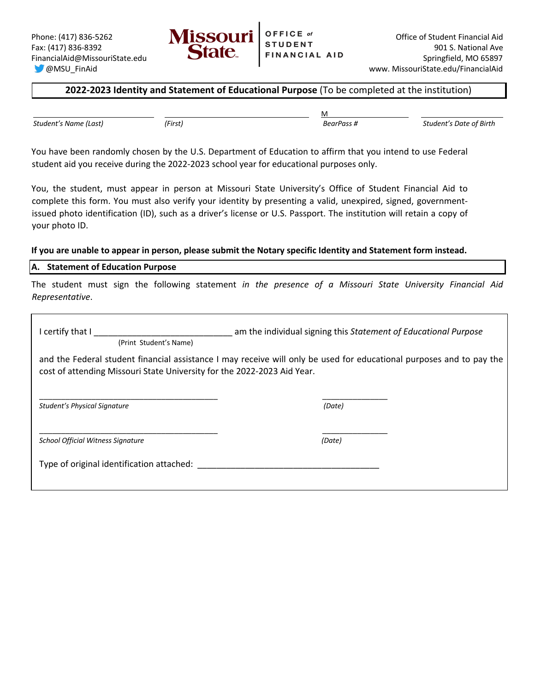

## **2022-2023 Identity and Statement of Educational Purpose** (To be completed at the institution)

*Student's Name (Last) (First) BearPass # Student's Date of Birth*

<u>Machine and the contract of the contract of the contract of the contract of the contract of the contract of the contract of the contract of the contract of the contract of the contract of the contract of the contract of t</u>

You have been randomly chosen by the U.S. Department of Education to affirm that you intend to use Federal student aid you receive during the 2022-2023 school year for educational purposes only.

You, the student, must appear in person at Missouri State University's Office of Student Financial Aid to complete this form. You must also verify your identity by presenting a valid, unexpired, signed, governmentissued photo identification (ID), such as a driver's license or U.S. Passport. The institution will retain a copy of your photo ID.

### **If you are unable to appear in person, please submit the Notary specific Identity and Statement form instead.**

# **A. Statement of Education Purpose**

The student must sign the following statement *in the presence of a Missouri State University Financial Aid Representative*.

| I certify that I<br>(Print Student's Name)                              | am the individual signing this Statement of Educational Purpose                                                      |
|-------------------------------------------------------------------------|----------------------------------------------------------------------------------------------------------------------|
| cost of attending Missouri State University for the 2022-2023 Aid Year. | and the Federal student financial assistance I may receive will only be used for educational purposes and to pay the |
| <b>Student's Physical Signature</b>                                     | (Date)                                                                                                               |
| <b>School Official Witness Signature</b>                                | (Date)                                                                                                               |
| Type of original identification attached:                               |                                                                                                                      |